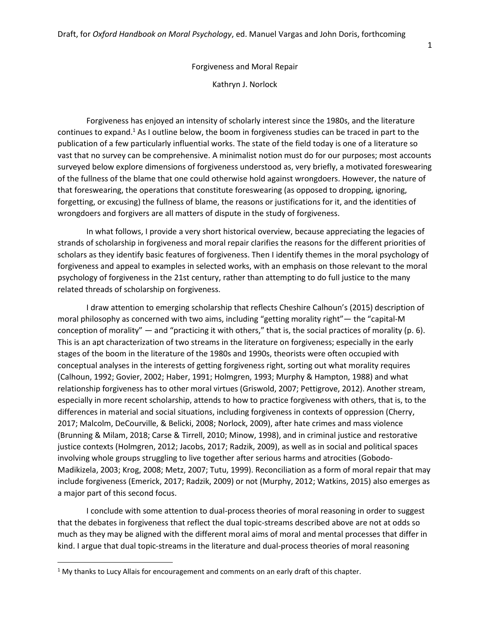Forgiveness and Moral Repair

Kathryn J. Norlock

Forgiveness has enjoyed an intensity of scholarly interest since the 1980s, and the literature continues to expand.<sup>1</sup> As I outline below, the boom in forgiveness studies can be traced in part to the publication of a few particularly influential works. The state of the field today is one of a literature so vast that no survey can be comprehensive. A minimalist notion must do for our purposes; most accounts surveyed below explore dimensions of forgiveness understood as, very briefly, a motivated foreswearing of the fullness of the blame that one could otherwise hold against wrongdoers. However, the nature of that foreswearing, the operations that constitute foreswearing (as opposed to dropping, ignoring, forgetting, or excusing) the fullness of blame, the reasons or justifications for it, and the identities of wrongdoers and forgivers are all matters of dispute in the study of forgiveness.

In what follows, I provide a very short historical overview, because appreciating the legacies of strands of scholarship in forgiveness and moral repair clarifies the reasons for the different priorities of scholars as they identify basic features of forgiveness. Then I identify themes in the moral psychology of forgiveness and appeal to examples in selected works, with an emphasis on those relevant to the moral psychology of forgiveness in the 21st century, rather than attempting to do full justice to the many related threads of scholarship on forgiveness.

I draw attention to emerging scholarship that reflects Cheshire Calhoun's (2015) description of moral philosophy as concerned with two aims, including "getting morality right"— the "capital-M conception of morality" — and "practicing it with others," that is, the social practices of morality (p. 6). This is an apt characterization of two streams in the literature on forgiveness; especially in the early stages of the boom in the literature of the 1980s and 1990s, theorists were often occupied with conceptual analyses in the interests of getting forgiveness right, sorting out what morality requires (Calhoun, 1992; Govier, 2002; Haber, 1991; Holmgren, 1993; Murphy & Hampton, 1988) and what relationship forgiveness has to other moral virtues (Griswold, 2007; Pettigrove, 2012). Another stream, especially in more recent scholarship, attends to how to practice forgiveness with others, that is, to the differences in material and social situations, including forgiveness in contexts of oppression (Cherry, 2017; Malcolm, DeCourville, & Belicki, 2008; Norlock, 2009), after hate crimes and mass violence (Brunning & Milam, 2018; Carse & Tirrell, 2010; Minow, 1998), and in criminal justice and restorative justice contexts (Holmgren, 2012; Jacobs, 2017; Radzik, 2009), as well as in social and political spaces involving whole groups struggling to live together after serious harms and atrocities (Gobodo-Madikizela, 2003; Krog, 2008; Metz, 2007; Tutu, 1999). Reconciliation as a form of moral repair that may include forgiveness (Emerick, 2017; Radzik, 2009) or not (Murphy, 2012; Watkins, 2015) also emerges as a major part of this second focus.

I conclude with some attention to dual-process theories of moral reasoning in order to suggest that the debates in forgiveness that reflect the dual topic-streams described above are not at odds so much as they may be aligned with the different moral aims of moral and mental processes that differ in kind. I argue that dual topic-streams in the literature and dual-process theories of moral reasoning

 $\overline{\phantom{a}}$ 

<sup>&</sup>lt;sup>1</sup> My thanks to Lucy Allais for encouragement and comments on an early draft of this chapter.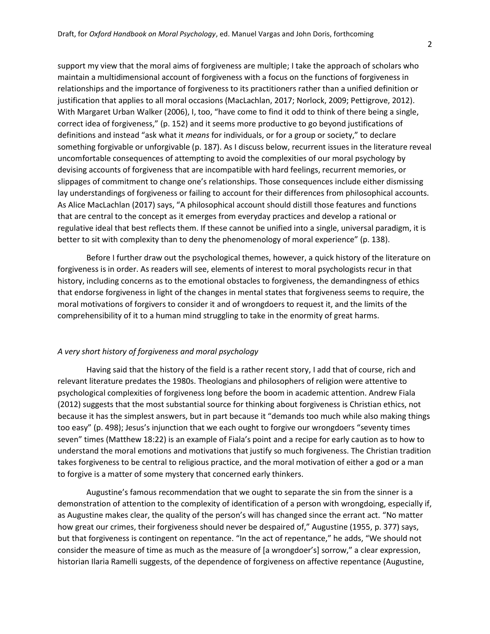support my view that the moral aims of forgiveness are multiple; I take the approach of scholars who maintain a multidimensional account of forgiveness with a focus on the functions of forgiveness in relationships and the importance of forgiveness to its practitioners rather than a unified definition or justification that applies to all moral occasions (MacLachlan, 2017; Norlock, 2009; Pettigrove, 2012). With Margaret Urban Walker (2006), I, too, "have come to find it odd to think of there being a single, correct idea of forgiveness," (p. 152) and it seems more productive to go beyond justifications of definitions and instead "ask what it *means* for individuals, or for a group or society," to declare something forgivable or unforgivable (p. 187). As I discuss below, recurrent issues in the literature reveal uncomfortable consequences of attempting to avoid the complexities of our moral psychology by devising accounts of forgiveness that are incompatible with hard feelings, recurrent memories, or slippages of commitment to change one's relationships. Those consequences include either dismissing lay understandings of forgiveness or failing to account for their differences from philosophical accounts. As Alice MacLachlan (2017) says, "A philosophical account should distill those features and functions that are central to the concept as it emerges from everyday practices and develop a rational or regulative ideal that best reflects them. If these cannot be unified into a single, universal paradigm, it is better to sit with complexity than to deny the phenomenology of moral experience" (p. 138).

Before I further draw out the psychological themes, however, a quick history of the literature on forgiveness is in order. As readers will see, elements of interest to moral psychologists recur in that history, including concerns as to the emotional obstacles to forgiveness, the demandingness of ethics that endorse forgiveness in light of the changes in mental states that forgiveness seems to require, the moral motivations of forgivers to consider it and of wrongdoers to request it, and the limits of the comprehensibility of it to a human mind struggling to take in the enormity of great harms.

## *A very short history of forgiveness and moral psychology*

Having said that the history of the field is a rather recent story, I add that of course, rich and relevant literature predates the 1980s. Theologians and philosophers of religion were attentive to psychological complexities of forgiveness long before the boom in academic attention. Andrew Fiala (2012) suggests that the most substantial source for thinking about forgiveness is Christian ethics, not because it has the simplest answers, but in part because it "demands too much while also making things too easy" (p. 498); Jesus's injunction that we each ought to forgive our wrongdoers "seventy times seven" times (Matthew 18:22) is an example of Fiala's point and a recipe for early caution as to how to understand the moral emotions and motivations that justify so much forgiveness. The Christian tradition takes forgiveness to be central to religious practice, and the moral motivation of either a god or a man to forgive is a matter of some mystery that concerned early thinkers.

Augustine's famous recommendation that we ought to separate the sin from the sinner is a demonstration of attention to the complexity of identification of a person with wrongdoing, especially if, as Augustine makes clear, the quality of the person's will has changed since the errant act. "No matter how great our crimes, their forgiveness should never be despaired of," Augustine (1955, p. 377) says, but that forgiveness is contingent on repentance. "In the act of repentance," he adds, "We should not consider the measure of time as much as the measure of [a wrongdoer's] sorrow," a clear expression, historian Ilaria Ramelli suggests, of the dependence of forgiveness on affective repentance (Augustine,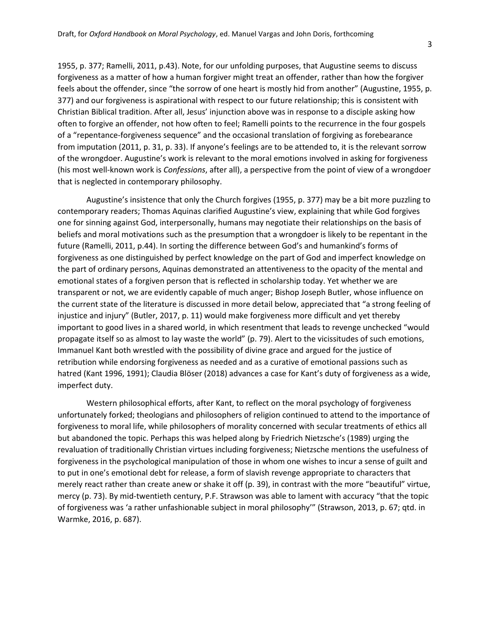1955, p. 377; Ramelli, 2011, p.43). Note, for our unfolding purposes, that Augustine seems to discuss forgiveness as a matter of how a human forgiver might treat an offender, rather than how the forgiver feels about the offender, since "the sorrow of one heart is mostly hid from another" (Augustine, 1955, p. 377) and our forgiveness is aspirational with respect to our future relationship; this is consistent with Christian Biblical tradition. After all, Jesus' injunction above was in response to a disciple asking how often to forgive an offender, not how often to feel; Ramelli points to the recurrence in the four gospels of a "repentance-forgiveness sequence" and the occasional translation of forgiving as forebearance from imputation (2011, p. 31, p. 33). If anyone's feelings are to be attended to, it is the relevant sorrow of the wrongdoer. Augustine's work is relevant to the moral emotions involved in asking for forgiveness (his most well-known work is *Confessions*, after all), a perspective from the point of view of a wrongdoer that is neglected in contemporary philosophy.

Augustine's insistence that only the Church forgives (1955, p. 377) may be a bit more puzzling to contemporary readers; Thomas Aquinas clarified Augustine's view, explaining that while God forgives one for sinning against God, interpersonally, humans may negotiate their relationships on the basis of beliefs and moral motivations such as the presumption that a wrongdoer is likely to be repentant in the future (Ramelli, 2011, p.44). In sorting the difference between God's and humankind's forms of forgiveness as one distinguished by perfect knowledge on the part of God and imperfect knowledge on the part of ordinary persons, Aquinas demonstrated an attentiveness to the opacity of the mental and emotional states of a forgiven person that is reflected in scholarship today. Yet whether we are transparent or not, we are evidently capable of much anger; Bishop Joseph Butler, whose influence on the current state of the literature is discussed in more detail below, appreciated that "a strong feeling of injustice and injury" (Butler, 2017, p. 11) would make forgiveness more difficult and yet thereby important to good lives in a shared world, in which resentment that leads to revenge unchecked "would propagate itself so as almost to lay waste the world" (p. 79). Alert to the vicissitudes of such emotions, Immanuel Kant both wrestled with the possibility of divine grace and argued for the justice of retribution while endorsing forgiveness as needed and as a curative of emotional passions such as hatred (Kant 1996, 1991); Claudia Blöser (2018) advances a case for Kant's duty of forgiveness as a wide, imperfect duty.

Western philosophical efforts, after Kant, to reflect on the moral psychology of forgiveness unfortunately forked; theologians and philosophers of religion continued to attend to the importance of forgiveness to moral life, while philosophers of morality concerned with secular treatments of ethics all but abandoned the topic. Perhaps this was helped along by Friedrich Nietzsche's (1989) urging the revaluation of traditionally Christian virtues including forgiveness; Nietzsche mentions the usefulness of forgiveness in the psychological manipulation of those in whom one wishes to incur a sense of guilt and to put in one's emotional debt for release, a form of slavish revenge appropriate to characters that merely react rather than create anew or shake it off (p. 39), in contrast with the more "beautiful" virtue, mercy (p. 73). By mid-twentieth century, P.F. Strawson was able to lament with accuracy "that the topic of forgiveness was 'a rather unfashionable subject in moral philosophy'" (Strawson, 2013, p. 67; qtd. in Warmke, 2016, p. 687).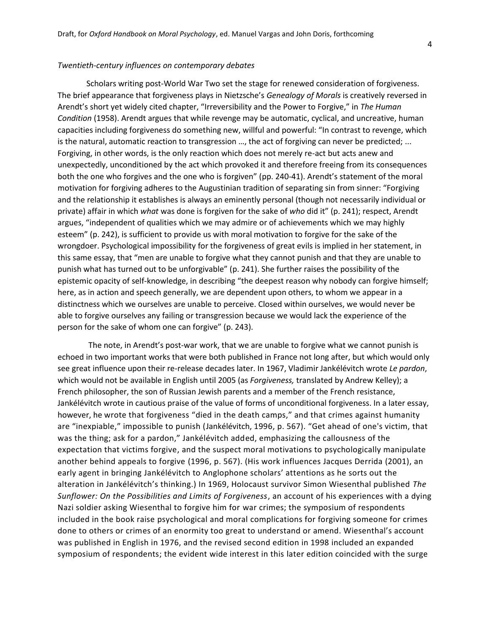## *Twentieth-century influences on contemporary debates*

Scholars writing post-World War Two set the stage for renewed consideration of forgiveness. The brief appearance that forgiveness plays in Nietzsche's *Genealogy of Morals* is creatively reversed in Arendt's short yet widely cited chapter, "Irreversibility and the Power to Forgive," in *The Human Condition* (1958). Arendt argues that while revenge may be automatic, cyclical, and uncreative, human capacities including forgiveness do something new, willful and powerful: "In contrast to revenge, which is the natural, automatic reaction to transgression …, the act of forgiving can never be predicted; ... Forgiving, in other words, is the only reaction which does not merely re-act but acts anew and unexpectedly, unconditioned by the act which provoked it and therefore freeing from its consequences both the one who forgives and the one who is forgiven" (pp. 240-41). Arendt's statement of the moral motivation for forgiving adheres to the Augustinian tradition of separating sin from sinner: "Forgiving and the relationship it establishes is always an eminently personal (though not necessarily individual or private) affair in which *what* was done is forgiven for the sake of *who* did it" (p. 241); respect, Arendt argues, "independent of qualities which we may admire or of achievements which we may highly esteem" (p. 242), is sufficient to provide us with moral motivation to forgive for the sake of the wrongdoer. Psychological impossibility for the forgiveness of great evils is implied in her statement, in this same essay, that "men are unable to forgive what they cannot punish and that they are unable to punish what has turned out to be unforgivable" (p. 241). She further raises the possibility of the epistemic opacity of self-knowledge, in describing "the deepest reason why nobody can forgive himself; here, as in action and speech generally, we are dependent upon others, to whom we appear in a distinctness which we ourselves are unable to perceive. Closed within ourselves, we would never be able to forgive ourselves any failing or transgression because we would lack the experience of the person for the sake of whom one can forgive" (p. 243).

The note, in Arendt's post-war work, that we are unable to forgive what we cannot punish is echoed in two important works that were both published in France not long after, but which would only see great influence upon their re-release decades later. In 1967, Vladimir Jankélévitch wrote *Le pardon*, which would not be available in English until 2005 (as *Forgiveness,* translated by Andrew Kelley); a French philosopher, the son of Russian Jewish parents and a member of the French resistance, Jankélévitch wrote in cautious praise of the value of forms of unconditional forgiveness. In a later essay, however, he wrote that forgiveness "died in the death camps," and that crimes against humanity are "inexpiable," impossible to punish (Jankélévitch, 1996, p. 567). "Get ahead of one's victim, that was the thing; ask for a pardon," Jankélévitch added, emphasizing the callousness of the expectation that victims forgive, and the suspect moral motivations to psychologically manipulate another behind appeals to forgive (1996, p. 567). (His work influences Jacques Derrida (2001), an early agent in bringing Jankélévitch to Anglophone scholars' attentions as he sorts out the alteration in Jankélévitch's thinking.) In 1969, Holocaust survivor Simon Wiesenthal published *The Sunflower: On the Possibilities and Limits of Forgiveness*, an account of his experiences with a dying Nazi soldier asking Wiesenthal to forgive him for war crimes; the symposium of respondents included in the book raise psychological and moral complications for forgiving someone for crimes done to others or crimes of an enormity too great to understand or amend. Wiesenthal's account was published in English in 1976, and the revised second edition in 1998 included an expanded symposium of respondents; the evident wide interest in this later edition coincided with the surge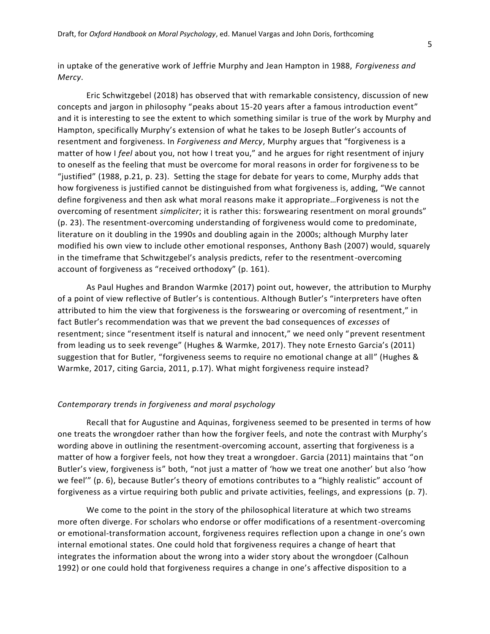in uptake of the generative work of Jeffrie Murphy and Jean Hampton in 1988, *Forgiveness and Mercy*.

Eric Schwitzgebel (2018) has observed that with remarkable consistency, discussion of new concepts and jargon in philosophy "peaks about 15-20 years after a famous introduction event" and it is interesting to see the extent to which something similar is true of the work by Murphy and Hampton, specifically Murphy's extension of what he takes to be Joseph Butler's accounts of resentment and forgiveness. In *Forgiveness and Mercy*, Murphy argues that "forgiveness is a matter of how I *feel* about you, not how I treat you," and he argues for right resentment of injury to oneself as the feeling that must be overcome for moral reasons in order for forgiveness to be "justified" (1988, p.21, p. 23). Setting the stage for debate for years to come, Murphy adds that how forgiveness is justified cannot be distinguished from what forgiveness is, adding, "We cannot define forgiveness and then ask what moral reasons make it appropriate…Forgiveness is not the overcoming of resentment *simpliciter*; it is rather this: forswearing resentment on moral grounds" (p. 23). The resentment-overcoming understanding of forgiveness would come to predominate, literature on it doubling in the 1990s and doubling again in the 2000s; although Murphy later modified his own view to include other emotional responses, Anthony Bash (2007) would, squarely in the timeframe that Schwitzgebel's analysis predicts, refer to the resentment-overcoming account of forgiveness as "received orthodoxy" (p. 161).

As Paul Hughes and Brandon Warmke (2017) point out, however, the attribution to Murphy of a point of view reflective of Butler's is contentious. Although Butler's "interpreters have often attributed to him the view that forgiveness is the forswearing or overcoming of resentment," in fact Butler's recommendation was that we prevent the bad consequences of *excesses* of resentment; since "resentment itself is natural and innocent," we need only "prevent resentment from leading us to seek revenge" (Hughes & Warmke, 2017). They note Ernesto Garcia's (2011) suggestion that for Butler, "forgiveness seems to require no emotional change at all" (Hughes & Warmke, 2017, citing Garcia, 2011, p.17). What might forgiveness require instead?

# *Contemporary trends in forgiveness and moral psychology*

Recall that for Augustine and Aquinas, forgiveness seemed to be presented in terms of how one treats the wrongdoer rather than how the forgiver feels, and note the contrast with Murphy's wording above in outlining the resentment-overcoming account, asserting that forgiveness is a matter of how a forgiver feels, not how they treat a wrongdoer. Garcia (2011) maintains that "on Butler's view, forgiveness is" both, "not just a matter of 'how we treat one another' but also 'how we feel'" (p. 6), because Butler's theory of emotions contributes to a "highly realistic" account of forgiveness as a virtue requiring both public and private activities, feelings, and expressions (p. 7).

We come to the point in the story of the philosophical literature at which two streams more often diverge. For scholars who endorse or offer modifications of a resentment-overcoming or emotional-transformation account, forgiveness requires reflection upon a change in one's own internal emotional states. One could hold that forgiveness requires a change of heart that integrates the information about the wrong into a wider story about the wrongdoer (Calhoun 1992) or one could hold that forgiveness requires a change in one's affective disposition to a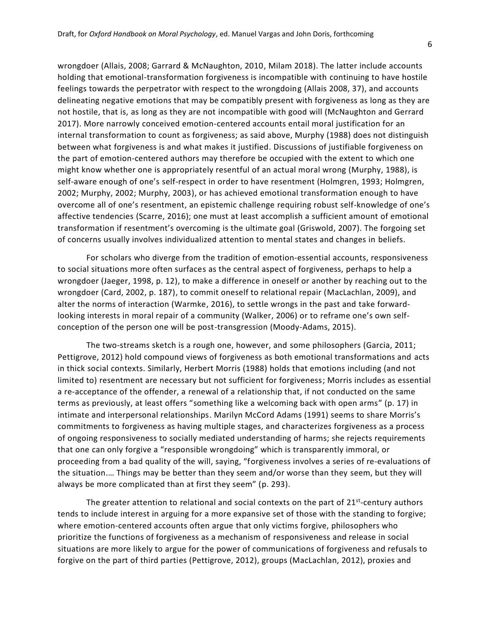wrongdoer (Allais, 2008; Garrard & McNaughton, 2010, Milam 2018). The latter include accounts holding that emotional-transformation forgiveness is incompatible with continuing to have hostile feelings towards the perpetrator with respect to the wrongdoing (Allais 2008, 37), and accounts delineating negative emotions that may be compatibly present with forgiveness as long as they are not hostile, that is, as long as they are not incompatible with good will (McNaughton and Gerrard 2017). More narrowly conceived emotion-centered accounts entail moral justification for an internal transformation to count as forgiveness; as said above, Murphy (1988) does not distinguish between what forgiveness is and what makes it justified. Discussions of justifiable forgiveness on the part of emotion-centered authors may therefore be occupied with the extent to which one might know whether one is appropriately resentful of an actual moral wrong (Murphy, 1988), is self-aware enough of one's self-respect in order to have resentment (Holmgren, 1993; Holmgren, 2002; Murphy, 2002; Murphy, 2003), or has achieved emotional transformation enough to have overcome all of one's resentment, an epistemic challenge requiring robust self-knowledge of one's affective tendencies (Scarre, 2016); one must at least accomplish a sufficient amount of emotional transformation if resentment's overcoming is the ultimate goal (Griswold, 2007). The forgoing set of concerns usually involves individualized attention to mental states and changes in beliefs.

For scholars who diverge from the tradition of emotion-essential accounts, responsiveness to social situations more often surfaces as the central aspect of forgiveness, perhaps to help a wrongdoer (Jaeger, 1998, p. 12), to make a difference in oneself or another by reaching out to the wrongdoer (Card, 2002, p. 187), to commit oneself to relational repair (MacLachlan, 2009), and alter the norms of interaction (Warmke, 2016), to settle wrongs in the past and take forwardlooking interests in moral repair of a community (Walker, 2006) or to reframe one's own selfconception of the person one will be post-transgression (Moody-Adams, 2015).

The two-streams sketch is a rough one, however, and some philosophers (Garcia, 2011; Pettigrove, 2012) hold compound views of forgiveness as both emotional transformations and acts in thick social contexts. Similarly, Herbert Morris (1988) holds that emotions including (and not limited to) resentment are necessary but not sufficient for forgiveness; Morris includes as essential a re-acceptance of the offender, a renewal of a relationship that, if not conducted on the same terms as previously, at least offers "something like a welcoming back with open arms" (p. 17) in intimate and interpersonal relationships. Marilyn McCord Adams (1991) seems to share Morris's commitments to forgiveness as having multiple stages, and characterizes forgiveness as a process of ongoing responsiveness to socially mediated understanding of harms; she rejects requirements that one can only forgive a "responsible wrongdoing" which is transparently immoral, or proceeding from a bad quality of the will, saying, "forgiveness involves a series of re-evaluations of the situation.… Things may be better than they seem and/or worse than they seem, but they will always be more complicated than at first they seem" (p. 293).

The greater attention to relational and social contexts on the part of 21<sup>st</sup>-century authors tends to include interest in arguing for a more expansive set of those with the standing to forgive; where emotion-centered accounts often argue that only victims forgive, philosophers who prioritize the functions of forgiveness as a mechanism of responsiveness and release in social situations are more likely to argue for the power of communications of forgiveness and refusals to forgive on the part of third parties (Pettigrove, 2012), groups (MacLachlan, 2012), proxies and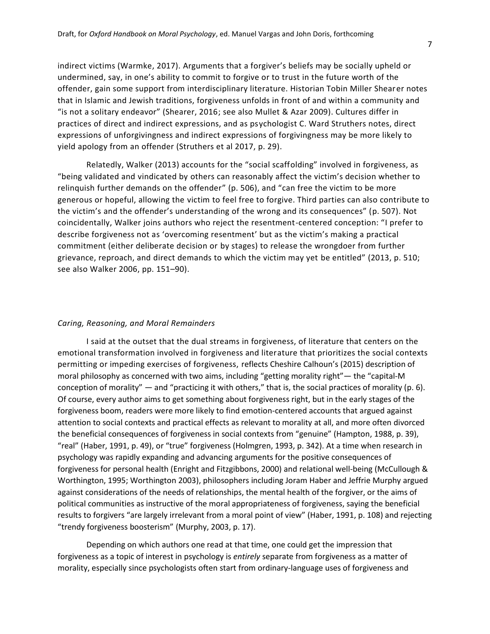indirect victims (Warmke, 2017). Arguments that a forgiver's beliefs may be socially upheld or undermined, say, in one's ability to commit to forgive or to trust in the future worth of the offender, gain some support from interdisciplinary literature. Historian Tobin Miller Shearer notes that in Islamic and Jewish traditions, forgiveness unfolds in front of and within a community and "is not a solitary endeavor" (Shearer, 2016; see also Mullet & Azar 2009). Cultures differ in practices of direct and indirect expressions, and as psychologist C. Ward Struthers notes, direct expressions of unforgivingness and indirect expressions of forgivingness may be more likely to yield apology from an offender (Struthers et al 2017, p. 29).

Relatedly, Walker (2013) accounts for the "social scaffolding" involved in forgiveness, as "being validated and vindicated by others can reasonably affect the victim's decision whether to relinquish further demands on the offender" (p. 506), and "can free the victim to be more generous or hopeful, allowing the victim to feel free to forgive. Third parties can also contribute to the victim's and the offender's understanding of the wrong and its consequences" (p. 507). Not coincidentally, Walker joins authors who reject the resentment-centered conception: "I prefer to describe forgiveness not as 'overcoming resentment' but as the victim's making a practical commitment (either deliberate decision or by stages) to release the wrongdoer from further grievance, reproach, and direct demands to which the victim may yet be entitled" (2013, p. 510; see also Walker 2006, pp. 151–90).

#### *Caring, Reasoning, and Moral Remainders*

I said at the outset that the dual streams in forgiveness, of literature that centers on the emotional transformation involved in forgiveness and literature that prioritizes the social contexts permitting or impeding exercises of forgiveness, reflects Cheshire Calhoun's (2015) description of moral philosophy as concerned with two aims, including "getting morality right"— the "capital-M conception of morality" — and "practicing it with others," that is, the social practices of morality (p. 6). Of course, every author aims to get something about forgiveness right, but in the early stages of the forgiveness boom, readers were more likely to find emotion-centered accounts that argued against attention to social contexts and practical effects as relevant to morality at all, and more often divorced the beneficial consequences of forgiveness in social contexts from "genuine" (Hampton, 1988, p. 39), "real" (Haber, 1991, p. 49), or "true" forgiveness (Holmgren, 1993, p. 342). At a time when research in psychology was rapidly expanding and advancing arguments for the positive consequences of forgiveness for personal health (Enright and Fitzgibbons, 2000) and relational well-being (McCullough & Worthington, 1995; Worthington 2003), philosophers including Joram Haber and Jeffrie Murphy argued against considerations of the needs of relationships, the mental health of the forgiver, or the aims of political communities as instructive of the moral appropriateness of forgiveness, saying the beneficial results to forgivers "are largely irrelevant from a moral point of view" (Haber, 1991, p. 108) and rejecting "trendy forgiveness boosterism" (Murphy, 2003, p. 17).

Depending on which authors one read at that time, one could get the impression that forgiveness as a topic of interest in psychology is *entirely* separate from forgiveness as a matter of morality, especially since psychologists often start from ordinary-language uses of forgiveness and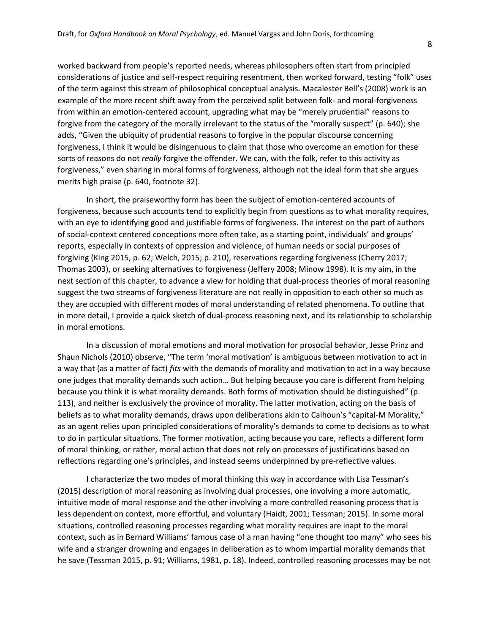worked backward from people's reported needs, whereas philosophers often start from principled considerations of justice and self-respect requiring resentment, then worked forward, testing "folk" uses of the term against this stream of philosophical conceptual analysis. Macalester Bell's (2008) work is an example of the more recent shift away from the perceived split between folk- and moral-forgiveness from within an emotion-centered account, upgrading what may be "merely prudential" reasons to forgive from the category of the morally irrelevant to the status of the "morally suspect" (p. 640); she adds, "Given the ubiquity of prudential reasons to forgive in the popular discourse concerning forgiveness, I think it would be disingenuous to claim that those who overcome an emotion for these sorts of reasons do not *really* forgive the offender. We can, with the folk, refer to this activity as forgiveness," even sharing in moral forms of forgiveness, although not the ideal form that she argues merits high praise (p. 640, footnote 32).

In short, the praiseworthy form has been the subject of emotion-centered accounts of forgiveness, because such accounts tend to explicitly begin from questions as to what morality requires, with an eye to identifying good and justifiable forms of forgiveness. The interest on the part of authors of social-context centered conceptions more often take, as a starting point, individuals' and groups' reports, especially in contexts of oppression and violence, of human needs or social purposes of forgiving (King 2015, p. 62; Welch, 2015; p. 210), reservations regarding forgiveness (Cherry 2017; Thomas 2003), or seeking alternatives to forgiveness (Jeffery 2008; Minow 1998). It is my aim, in the next section of this chapter, to advance a view for holding that dual-process theories of moral reasoning suggest the two streams of forgiveness literature are not really in opposition to each other so much as they are occupied with different modes of moral understanding of related phenomena. To outline that in more detail, I provide a quick sketch of dual-process reasoning next, and its relationship to scholarship in moral emotions.

In a discussion of moral emotions and moral motivation for prosocial behavior, Jesse Prinz and Shaun Nichols (2010) observe, "The term 'moral motivation' is ambiguous between motivation to act in a way that (as a matter of fact) *fits* with the demands of morality and motivation to act in a way because one judges that morality demands such action… But helping because you care is different from helping because you think it is what morality demands. Both forms of motivation should be distinguished" (p. 113), and neither is exclusively the province of morality. The latter motivation, acting on the basis of beliefs as to what morality demands, draws upon deliberations akin to Calhoun's "capital-M Morality," as an agent relies upon principled considerations of morality's demands to come to decisions as to what to do in particular situations. The former motivation, acting because you care, reflects a different form of moral thinking, or rather, moral action that does not rely on processes of justifications based on reflections regarding one's principles, and instead seems underpinned by pre-reflective values.

I characterize the two modes of moral thinking this way in accordance with Lisa Tessman's (2015) description of moral reasoning as involving dual processes, one involving a more automatic, intuitive mode of moral response and the other involving a more controlled reasoning process that is less dependent on context, more effortful, and voluntary (Haidt, 2001; Tessman; 2015). In some moral situations, controlled reasoning processes regarding what morality requires are inapt to the moral context, such as in Bernard Williams' famous case of a man having "one thought too many" who sees his wife and a stranger drowning and engages in deliberation as to whom impartial morality demands that he save (Tessman 2015, p. 91; Williams, 1981, p. 18). Indeed, controlled reasoning processes may be not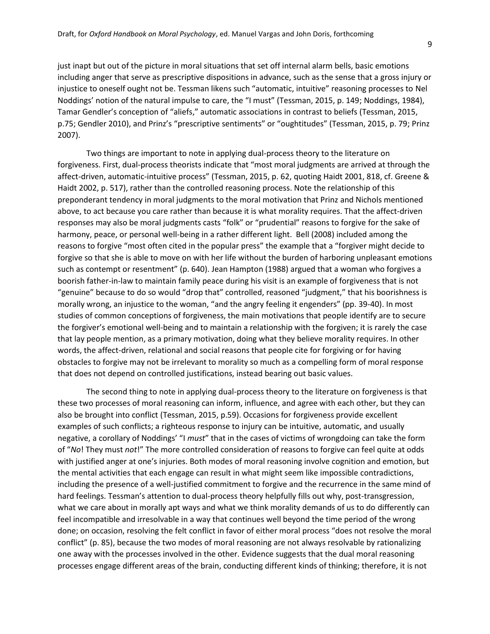just inapt but out of the picture in moral situations that set off internal alarm bells, basic emotions including anger that serve as prescriptive dispositions in advance, such as the sense that a gross injury or injustice to oneself ought not be. Tessman likens such "automatic, intuitive" reasoning processes to Nel Noddings' notion of the natural impulse to care, the "I must" (Tessman, 2015, p. 149; Noddings, 1984), Tamar Gendler's conception of "aliefs," automatic associations in contrast to beliefs (Tessman, 2015, p.75; Gendler 2010), and Prinz's "prescriptive sentiments" or "oughtitudes" (Tessman, 2015, p. 79; Prinz 2007).

Two things are important to note in applying dual-process theory to the literature on forgiveness. First, dual-process theorists indicate that "most moral judgments are arrived at through the affect-driven, automatic-intuitive process" (Tessman, 2015, p. 62, quoting Haidt 2001, 818, cf. Greene & Haidt 2002, p. 517), rather than the controlled reasoning process. Note the relationship of this preponderant tendency in moral judgments to the moral motivation that Prinz and Nichols mentioned above, to act because you care rather than because it is what morality requires. That the affect-driven responses may also be moral judgments casts "folk" or "prudential" reasons to forgive for the sake of harmony, peace, or personal well-being in a rather different light. Bell (2008) included among the reasons to forgive "most often cited in the popular press" the example that a "forgiver might decide to forgive so that she is able to move on with her life without the burden of harboring unpleasant emotions such as contempt or resentment" (p. 640). Jean Hampton (1988) argued that a woman who forgives a boorish father-in-law to maintain family peace during his visit is an example of forgiveness that is not "genuine" because to do so would "drop that" controlled, reasoned "judgment," that his boorishness is morally wrong, an injustice to the woman, "and the angry feeling it engenders" (pp. 39-40). In most studies of common conceptions of forgiveness, the main motivations that people identify are to secure the forgiver's emotional well-being and to maintain a relationship with the forgiven; it is rarely the case that lay people mention, as a primary motivation, doing what they believe morality requires. In other words, the affect-driven, relational and social reasons that people cite for forgiving or for having obstacles to forgive may not be irrelevant to morality so much as a compelling form of moral response that does not depend on controlled justifications, instead bearing out basic values.

The second thing to note in applying dual-process theory to the literature on forgiveness is that these two processes of moral reasoning can inform, influence, and agree with each other, but they can also be brought into conflict (Tessman, 2015, p.59). Occasions for forgiveness provide excellent examples of such conflicts; a righteous response to injury can be intuitive, automatic, and usually negative, a corollary of Noddings' "I *must*" that in the cases of victims of wrongdoing can take the form of "*No*! They must *not*!" The more controlled consideration of reasons to forgive can feel quite at odds with justified anger at one's injuries. Both modes of moral reasoning involve cognition and emotion, but the mental activities that each engage can result in what might seem like impossible contradictions, including the presence of a well-justified commitment to forgive and the recurrence in the same mind of hard feelings. Tessman's attention to dual-process theory helpfully fills out why, post-transgression, what we care about in morally apt ways and what we think morality demands of us to do differently can feel incompatible and irresolvable in a way that continues well beyond the time period of the wrong done; on occasion, resolving the felt conflict in favor of either moral process "does not resolve the moral conflict" (p. 85), because the two modes of moral reasoning are not always resolvable by rationalizing one away with the processes involved in the other. Evidence suggests that the dual moral reasoning processes engage different areas of the brain, conducting different kinds of thinking; therefore, it is not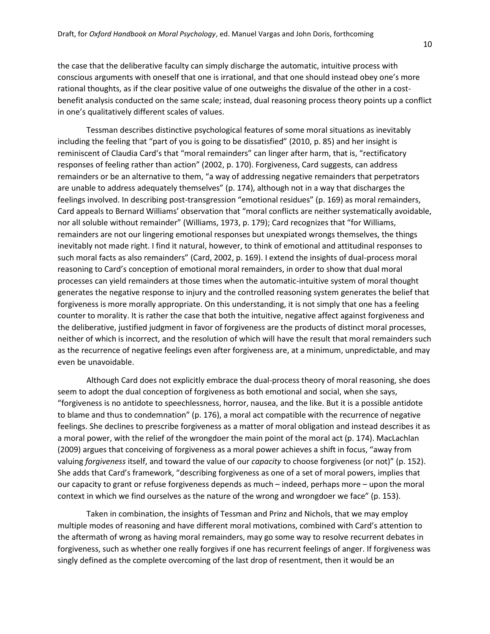the case that the deliberative faculty can simply discharge the automatic, intuitive process with conscious arguments with oneself that one is irrational, and that one should instead obey one's more rational thoughts, as if the clear positive value of one outweighs the disvalue of the other in a costbenefit analysis conducted on the same scale; instead, dual reasoning process theory points up a conflict in one's qualitatively different scales of values.

Tessman describes distinctive psychological features of some moral situations as inevitably including the feeling that "part of you is going to be dissatisfied" (2010, p. 85) and her insight is reminiscent of Claudia Card's that "moral remainders" can linger after harm, that is, "rectificatory responses of feeling rather than action" (2002, p. 170). Forgiveness, Card suggests, can address remainders or be an alternative to them, "a way of addressing negative remainders that perpetrators are unable to address adequately themselves" (p. 174), although not in a way that discharges the feelings involved. In describing post-transgression "emotional residues" (p. 169) as moral remainders, Card appeals to Bernard Williams' observation that "moral conflicts are neither systematically avoidable, nor all soluble without remainder" (Williams, 1973, p. 179); Card recognizes that "for Williams, remainders are not our lingering emotional responses but unexpiated wrongs themselves, the things inevitably not made right. I find it natural, however, to think of emotional and attitudinal responses to such moral facts as also remainders" (Card, 2002, p. 169). I extend the insights of dual-process moral reasoning to Card's conception of emotional moral remainders, in order to show that dual moral processes can yield remainders at those times when the automatic-intuitive system of moral thought generates the negative response to injury and the controlled reasoning system generates the belief that forgiveness is more morally appropriate. On this understanding, it is not simply that one has a feeling counter to morality. It is rather the case that both the intuitive, negative affect against forgiveness and the deliberative, justified judgment in favor of forgiveness are the products of distinct moral processes, neither of which is incorrect, and the resolution of which will have the result that moral remainders such as the recurrence of negative feelings even after forgiveness are, at a minimum, unpredictable, and may even be unavoidable.

Although Card does not explicitly embrace the dual-process theory of moral reasoning, she does seem to adopt the dual conception of forgiveness as both emotional and social, when she says, "forgiveness is no antidote to speechlessness, horror, nausea, and the like. But it is a possible antidote to blame and thus to condemnation" (p. 176), a moral act compatible with the recurrence of negative feelings. She declines to prescribe forgiveness as a matter of moral obligation and instead describes it as a moral power, with the relief of the wrongdoer the main point of the moral act (p. 174). MacLachlan (2009) argues that conceiving of forgiveness as a moral power achieves a shift in focus, "away from valuing *forgiveness* itself, and toward the value of our *capacity* to choose forgiveness (or not)" (p. 152). She adds that Card's framework, "describing forgiveness as one of a set of moral powers, implies that our capacity to grant or refuse forgiveness depends as much – indeed, perhaps more – upon the moral context in which we find ourselves as the nature of the wrong and wrongdoer we face" (p. 153).

Taken in combination, the insights of Tessman and Prinz and Nichols, that we may employ multiple modes of reasoning and have different moral motivations, combined with Card's attention to the aftermath of wrong as having moral remainders, may go some way to resolve recurrent debates in forgiveness, such as whether one really forgives if one has recurrent feelings of anger. If forgiveness was singly defined as the complete overcoming of the last drop of resentment, then it would be an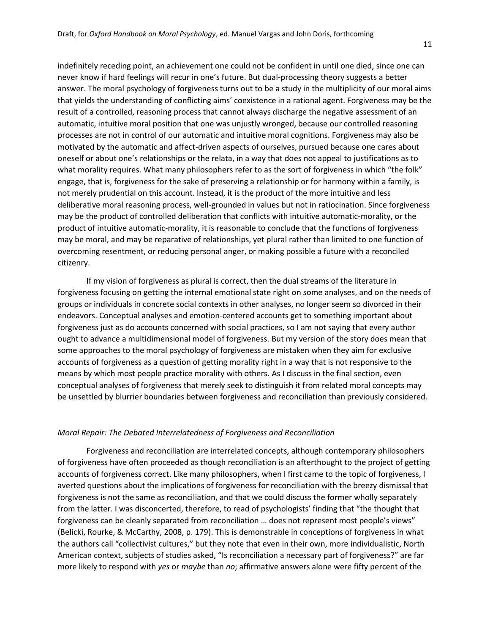indefinitely receding point, an achievement one could not be confident in until one died, since one can never know if hard feelings will recur in one's future. But dual-processing theory suggests a better answer. The moral psychology of forgiveness turns out to be a study in the multiplicity of our moral aims that yields the understanding of conflicting aims' coexistence in a rational agent. Forgiveness may be the result of a controlled, reasoning process that cannot always discharge the negative assessment of an automatic, intuitive moral position that one was unjustly wronged, because our controlled reasoning processes are not in control of our automatic and intuitive moral cognitions. Forgiveness may also be motivated by the automatic and affect-driven aspects of ourselves, pursued because one cares about oneself or about one's relationships or the relata, in a way that does not appeal to justifications as to what morality requires. What many philosophers refer to as the sort of forgiveness in which "the folk" engage, that is, forgiveness for the sake of preserving a relationship or for harmony within a family, is not merely prudential on this account. Instead, it is the product of the more intuitive and less deliberative moral reasoning process, well-grounded in values but not in ratiocination. Since forgiveness may be the product of controlled deliberation that conflicts with intuitive automatic-morality, or the product of intuitive automatic-morality, it is reasonable to conclude that the functions of forgiveness may be moral, and may be reparative of relationships, yet plural rather than limited to one function of overcoming resentment, or reducing personal anger, or making possible a future with a reconciled citizenry.

If my vision of forgiveness as plural is correct, then the dual streams of the literature in forgiveness focusing on getting the internal emotional state right on some analyses, and on the needs of groups or individuals in concrete social contexts in other analyses, no longer seem so divorced in their endeavors. Conceptual analyses and emotion-centered accounts get to something important about forgiveness just as do accounts concerned with social practices, so I am not saying that every author ought to advance a multidimensional model of forgiveness. But my version of the story does mean that some approaches to the moral psychology of forgiveness are mistaken when they aim for exclusive accounts of forgiveness as a question of getting morality right in a way that is not responsive to the means by which most people practice morality with others. As I discuss in the final section, even conceptual analyses of forgiveness that merely seek to distinguish it from related moral concepts may be unsettled by blurrier boundaries between forgiveness and reconciliation than previously considered.

### *Moral Repair: The Debated Interrelatedness of Forgiveness and Reconciliation*

Forgiveness and reconciliation are interrelated concepts, although contemporary philosophers of forgiveness have often proceeded as though reconciliation is an afterthought to the project of getting accounts of forgiveness correct. Like many philosophers, when I first came to the topic of forgiveness, I averted questions about the implications of forgiveness for reconciliation with the breezy dismissal that forgiveness is not the same as reconciliation, and that we could discuss the former wholly separately from the latter. I was disconcerted, therefore, to read of psychologists' finding that "the thought that forgiveness can be cleanly separated from reconciliation … does not represent most people's views" (Belicki, Rourke, & McCarthy, 2008, p. 179). This is demonstrable in conceptions of forgiveness in what the authors call "collectivist cultures," but they note that even in their own, more individualistic, North American context, subjects of studies asked, "Is reconciliation a necessary part of forgiveness?" are far more likely to respond with *yes* or *maybe* than *no*; affirmative answers alone were fifty percent of the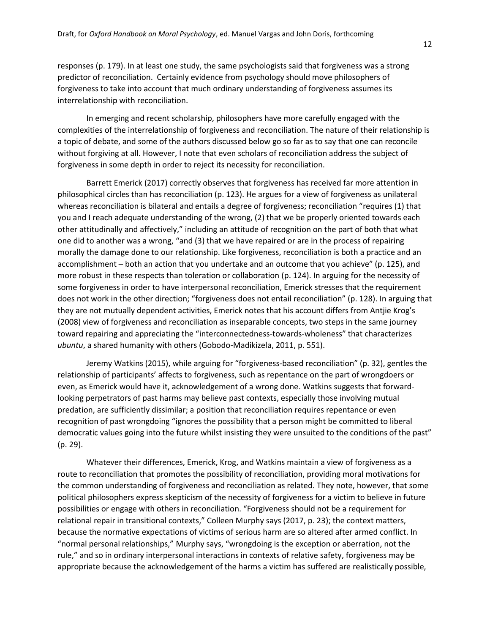responses (p. 179). In at least one study, the same psychologists said that forgiveness was a strong predictor of reconciliation. Certainly evidence from psychology should move philosophers of forgiveness to take into account that much ordinary understanding of forgiveness assumes its interrelationship with reconciliation.

In emerging and recent scholarship, philosophers have more carefully engaged with the complexities of the interrelationship of forgiveness and reconciliation. The nature of their relationship is a topic of debate, and some of the authors discussed below go so far as to say that one can reconcile without forgiving at all. However, I note that even scholars of reconciliation address the subject of forgiveness in some depth in order to reject its necessity for reconciliation.

Barrett Emerick (2017) correctly observes that forgiveness has received far more attention in philosophical circles than has reconciliation (p. 123). He argues for a view of forgiveness as unilateral whereas reconciliation is bilateral and entails a degree of forgiveness; reconciliation "requires (1) that you and I reach adequate understanding of the wrong, (2) that we be properly oriented towards each other attitudinally and affectively," including an attitude of recognition on the part of both that what one did to another was a wrong, "and (3) that we have repaired or are in the process of repairing morally the damage done to our relationship. Like forgiveness, reconciliation is both a practice and an accomplishment – both an action that you undertake and an outcome that you achieve" (p. 125), and more robust in these respects than toleration or collaboration (p. 124). In arguing for the necessity of some forgiveness in order to have interpersonal reconciliation, Emerick stresses that the requirement does not work in the other direction; "forgiveness does not entail reconciliation" (p. 128). In arguing that they are not mutually dependent activities, Emerick notes that his account differs from Antjie Krog's (2008) view of forgiveness and reconciliation as inseparable concepts, two steps in the same journey toward repairing and appreciating the "interconnectedness-towards-wholeness" that characterizes *ubuntu*, a shared humanity with others (Gobodo-Madikizela, 2011, p. 551).

Jeremy Watkins (2015), while arguing for "forgiveness-based reconciliation" (p. 32), gentles the relationship of participants' affects to forgiveness, such as repentance on the part of wrongdoers or even, as Emerick would have it, acknowledgement of a wrong done. Watkins suggests that forwardlooking perpetrators of past harms may believe past contexts, especially those involving mutual predation, are sufficiently dissimilar; a position that reconciliation requires repentance or even recognition of past wrongdoing "ignores the possibility that a person might be committed to liberal democratic values going into the future whilst insisting they were unsuited to the conditions of the past" (p. 29).

Whatever their differences, Emerick, Krog, and Watkins maintain a view of forgiveness as a route to reconciliation that promotes the possibility of reconciliation, providing moral motivations for the common understanding of forgiveness and reconciliation as related. They note, however, that some political philosophers express skepticism of the necessity of forgiveness for a victim to believe in future possibilities or engage with others in reconciliation. "Forgiveness should not be a requirement for relational repair in transitional contexts," Colleen Murphy says (2017, p. 23); the context matters, because the normative expectations of victims of serious harm are so altered after armed conflict. In "normal personal relationships," Murphy says, "wrongdoing is the exception or aberration, not the rule," and so in ordinary interpersonal interactions in contexts of relative safety, forgiveness may be appropriate because the acknowledgement of the harms a victim has suffered are realistically possible,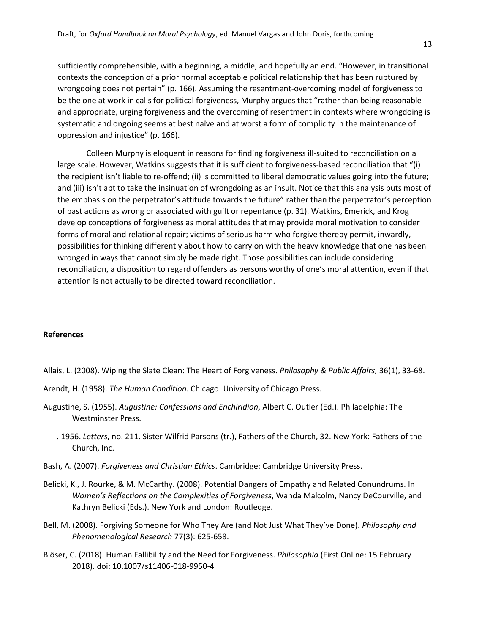sufficiently comprehensible, with a beginning, a middle, and hopefully an end. "However, in transitional contexts the conception of a prior normal acceptable political relationship that has been ruptured by wrongdoing does not pertain" (p. 166). Assuming the resentment-overcoming model of forgiveness to be the one at work in calls for political forgiveness, Murphy argues that "rather than being reasonable and appropriate, urging forgiveness and the overcoming of resentment in contexts where wrongdoing is systematic and ongoing seems at best naïve and at worst a form of complicity in the maintenance of oppression and injustice" (p. 166).

Colleen Murphy is eloquent in reasons for finding forgiveness ill-suited to reconciliation on a large scale. However, Watkins suggests that it is sufficient to forgiveness-based reconciliation that "(i) the recipient isn't liable to re-offend; (ii) is committed to liberal democratic values going into the future; and (iii) isn't apt to take the insinuation of wrongdoing as an insult. Notice that this analysis puts most of the emphasis on the perpetrator's attitude towards the future" rather than the perpetrator's perception of past actions as wrong or associated with guilt or repentance (p. 31). Watkins, Emerick, and Krog develop conceptions of forgiveness as moral attitudes that may provide moral motivation to consider forms of moral and relational repair; victims of serious harm who forgive thereby permit, inwardly, possibilities for thinking differently about how to carry on with the heavy knowledge that one has been wronged in ways that cannot simply be made right. Those possibilities can include considering reconciliation, a disposition to regard offenders as persons worthy of one's moral attention, even if that attention is not actually to be directed toward reconciliation.

# **References**

- Allais, L. (2008). Wiping the Slate Clean: The Heart of Forgiveness. *Philosophy & Public Affairs,* 36(1), 33-68.
- Arendt, H. (1958). *The Human Condition*. Chicago: University of Chicago Press.
- Augustine, S. (1955). *Augustine: Confessions and Enchiridion*, Albert C. Outler (Ed.). Philadelphia: The Westminster Press.
- -----. 1956. *Letters*, no. 211. Sister Wilfrid Parsons (tr.), Fathers of the Church, 32. New York: Fathers of the Church, Inc.
- Bash, A. (2007). *Forgiveness and Christian Ethics*. Cambridge: Cambridge University Press.
- Belicki, K., J. Rourke, & M. McCarthy. (2008). Potential Dangers of Empathy and Related Conundrums. In *Women's Reflections on the Complexities of Forgiveness*, Wanda Malcolm, Nancy DeCourville, and Kathryn Belicki (Eds.). New York and London: Routledge.
- Bell, M. (2008). Forgiving Someone for Who They Are (and Not Just What They've Done). *Philosophy and Phenomenological Research* 77(3): 625-658.
- Blöser, C. (2018). Human Fallibility and the Need for Forgiveness. *Philosophia* (First Online: 15 February 2018). doi: 10.1007/s11406-018-9950-4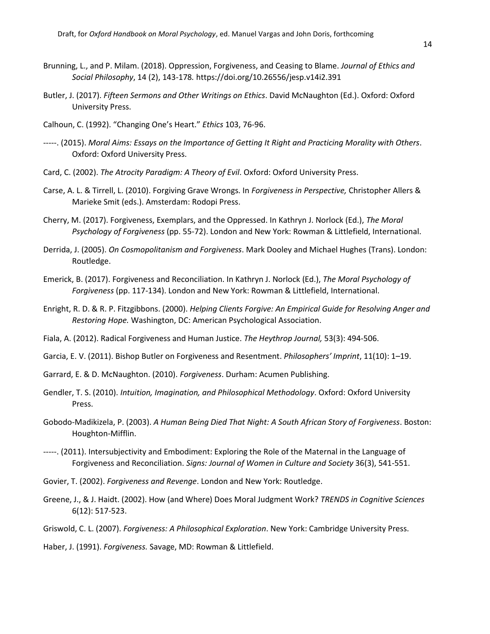- Brunning, L., and P. Milam. (2018). Oppression, Forgiveness, and Ceasing to Blame. *Journal of Ethics and Social Philosophy*, 14 (2), 143-178*.* https://doi.org/10.26556/jesp.v14i2.391
- Butler, J. (2017). *Fifteen Sermons and Other Writings on Ethics*. David McNaughton (Ed.). Oxford: Oxford University Press.
- Calhoun, C. (1992). "Changing One's Heart." *Ethics* 103, 76-96.
- -----. (2015). *Moral Aims: Essays on the Importance of Getting It Right and Practicing Morality with Others*. Oxford: Oxford University Press.
- Card, C. (2002). *The Atrocity Paradigm: A Theory of Evil*. Oxford: Oxford University Press.
- Carse, A. L. & Tirrell, L. (2010). Forgiving Grave Wrongs. In *Forgiveness in Perspective,* Christopher Allers & Marieke Smit (eds.). Amsterdam: Rodopi Press.
- Cherry, M. (2017). Forgiveness, Exemplars, and the Oppressed. In Kathryn J. Norlock (Ed.), *The Moral Psychology of Forgiveness* (pp. 55-72). London and New York: Rowman & Littlefield, International.
- Derrida, J. (2005). *On Cosmopolitanism and Forgiveness*. Mark Dooley and Michael Hughes (Trans). London: Routledge.
- Emerick, B. (2017). Forgiveness and Reconciliation. In Kathryn J. Norlock (Ed.), *The Moral Psychology of Forgiveness* (pp. 117-134). London and New York: Rowman & Littlefield, International.
- Enright, R. D. & R. P. Fitzgibbons. (2000). *Helping Clients Forgive: An Empirical Guide for Resolving Anger and Restoring Hope.* Washington, DC: American Psychological Association.
- Fiala, A. (2012). Radical Forgiveness and Human Justice. *The Heythrop Journal,* 53(3): 494-506.
- Garcia, E. V. (2011). Bishop Butler on Forgiveness and Resentment. *Philosophers' Imprint*, 11(10): 1–19.
- Garrard, E. & D. McNaughton. (2010). *Forgiveness*. Durham: Acumen Publishing.
- Gendler, T. S. (2010). *Intuition, Imagination, and Philosophical Methodology*. Oxford: Oxford University Press.
- Gobodo-Madikizela, P. (2003). *A Human Being Died That Night: A South African Story of Forgiveness*. Boston: Houghton-Mifflin.
- -----. (2011). Intersubjectivity and Embodiment: Exploring the Role of the Maternal in the Language of Forgiveness and Reconciliation. *Signs: Journal of Women in Culture and Society* 36(3), 541-551.
- Govier, T. (2002). *Forgiveness and Revenge*. London and New York: Routledge.
- Greene, J., & J. Haidt. (2002). How (and Where) Does Moral Judgment Work? *TRENDS in Cognitive Sciences* 6(12): 517-523.
- Griswold, C. L. (2007). *Forgiveness: A Philosophical Exploration*. New York: Cambridge University Press.

Haber, J. (1991). *Forgiveness.* Savage, MD: Rowman & Littlefield.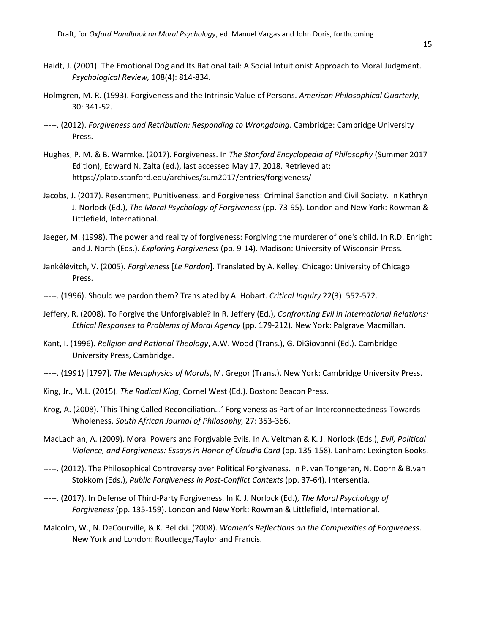- Haidt, J. (2001). The Emotional Dog and Its Rational tail: A Social Intuitionist Approach to Moral Judgment. *Psychological Review,* 108(4): 814-834.
- Holmgren, M. R. (1993). Forgiveness and the Intrinsic Value of Persons. *American Philosophical Quarterly,* 30: 341-52.
- -----. (2012). *Forgiveness and Retribution: Responding to Wrongdoing*. Cambridge: Cambridge University Press.
- Hughes, P. M. & B. Warmke. (2017). Forgiveness. In *The Stanford Encyclopedia of Philosophy* (Summer 2017 Edition), Edward N. Zalta (ed.), last accessed May 17, 2018. Retrieved at: https://plato.stanford.edu/archives/sum2017/entries/forgiveness/
- Jacobs, J. (2017). Resentment, Punitiveness, and Forgiveness: Criminal Sanction and Civil Society. In Kathryn J. Norlock (Ed.), *The Moral Psychology of Forgiveness* (pp. 73-95). London and New York: Rowman & Littlefield, International.
- Jaeger, M. (1998). The power and reality of forgiveness: Forgiving the murderer of one's child. In R.D. Enright and J. North (Eds.). *Exploring Forgiveness* (pp. 9-14). Madison: University of Wisconsin Press.
- Jankélévitch, V. (2005). *Forgiveness* [*Le Pardon*]. Translated by A. Kelley. Chicago: University of Chicago Press.
- -----. (1996). Should we pardon them? Translated by A. Hobart. *Critical Inquiry* 22(3): 552-572.
- Jeffery, R. (2008). To Forgive the Unforgivable? In R. Jeffery (Ed.), *Confronting Evil in International Relations: Ethical Responses to Problems of Moral Agency* (pp. 179-212). New York: Palgrave Macmillan.
- Kant, I. (1996). *Religion and Rational Theology*, A.W. Wood (Trans.), G. DiGiovanni (Ed.). Cambridge University Press, Cambridge.
- -----. (1991) [1797]. *The Metaphysics of Morals*, M. Gregor (Trans.). New York: Cambridge University Press.
- King, Jr., M.L. (2015). *The Radical King*, Cornel West (Ed.). Boston: Beacon Press.
- Krog, A. (2008). 'This Thing Called Reconciliation…' Forgiveness as Part of an Interconnectedness-Towards-Wholeness. *South African Journal of Philosophy,* 27: 353-366.
- MacLachlan, A. (2009). Moral Powers and Forgivable Evils. In A. Veltman & K. J. Norlock (Eds.), *Evil, Political Violence, and Forgiveness: Essays in Honor of Claudia Card* (pp. 135-158). Lanham: Lexington Books.
- -----. (2012). The Philosophical Controversy over Political Forgiveness. In P. van Tongeren, N. Doorn & B.van Stokkom (Eds.), *Public Forgiveness in Post-Conflict Contexts* (pp. 37-64). Intersentia.
- -----. (2017). In Defense of Third-Party Forgiveness. In K. J. Norlock (Ed.), *The Moral Psychology of Forgiveness* (pp. 135-159). London and New York: Rowman & Littlefield, International.
- Malcolm, W., N. DeCourville, & K. Belicki. (2008). *Women's Reflections on the Complexities of Forgiveness*. New York and London: Routledge/Taylor and Francis.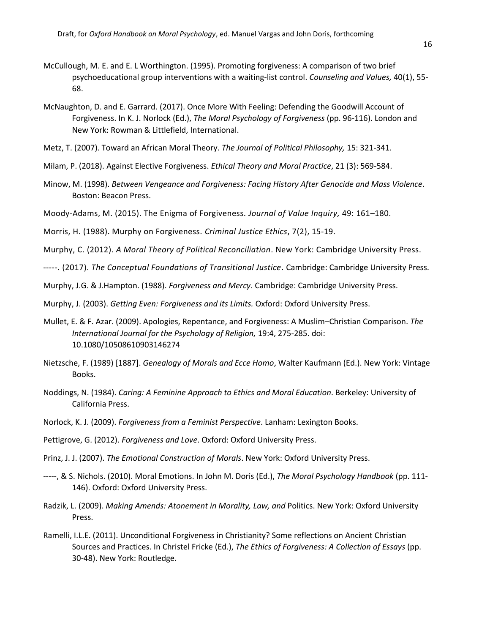- McCullough, M. E. and E. L Worthington. (1995). Promoting forgiveness: A comparison of two brief psychoeducational group interventions with a waiting‐list control. *Counseling and Values,* 40(1), 55- 68.
- McNaughton, D. and E. Garrard. (2017). Once More With Feeling: Defending the Goodwill Account of Forgiveness. In K. J. Norlock (Ed.), *The Moral Psychology of Forgiveness* (pp. 96-116). London and New York: Rowman & Littlefield, International.
- Metz, T. (2007). Toward an African Moral Theory. *The Journal of Political Philosophy,* 15: 321-341.
- Milam, P. (2018). Against Elective Forgiveness. *Ethical Theory and Moral Practice*, 21 (3): 569-584.
- Minow, M. (1998). *Between Vengeance and Forgiveness: Facing History After Genocide and Mass Violence*. Boston: Beacon Press.
- Moody-Adams, M. (2015). The Enigma of Forgiveness. *Journal of Value Inquiry,* 49: 161–180.
- Morris, H. (1988). Murphy on Forgiveness. *Criminal Justice Ethics*, 7(2), 15-19.
- Murphy, C. (2012). *A Moral Theory of Political Reconciliation*. New York: Cambridge University Press.
- -----. (2017). *The Conceptual Foundations of Transitional Justice*. Cambridge: Cambridge University Press.
- Murphy, J.G. & J.Hampton. (1988). *Forgiveness and Mercy*. Cambridge: Cambridge University Press.
- Murphy, J. (2003). *Getting Even: Forgiveness and its Limits.* Oxford: Oxford University Press.
- Mullet, E. & F. Azar. (2009). Apologies, Repentance, and Forgiveness: A Muslim–Christian Comparison. *The International Journal for the Psychology of Religion,* 19:4, 275-285. doi: 10.1080/10508610903146274
- Nietzsche, F. (1989) [1887]. *Genealogy of Morals and Ecce Homo*, Walter Kaufmann (Ed.). New York: Vintage Books.
- Noddings, N. (1984). *Caring: A Feminine Approach to Ethics and Moral Education*. Berkeley: University of California Press.
- Norlock, K. J. (2009). *Forgiveness from a Feminist Perspective*. Lanham: Lexington Books.
- Pettigrove, G. (2012). *Forgiveness and Love*. Oxford: Oxford University Press.
- Prinz, J. J. (2007). *The Emotional Construction of Morals*. New York: Oxford University Press.
- -----, & S. Nichols. (2010). Moral Emotions. In John M. Doris (Ed.), *The Moral Psychology Handbook* (pp. 111- 146). Oxford: Oxford University Press.
- Radzik, L. (2009). *Making Amends: Atonement in Morality, Law, and* Politics. New York: Oxford University Press.
- Ramelli, I.L.E. (2011). Unconditional Forgiveness in Christianity? Some reflections on Ancient Christian Sources and Practices. In Christel Fricke (Ed.), *The Ethics of Forgiveness: A Collection of Essays* (pp. 30-48). New York: Routledge.